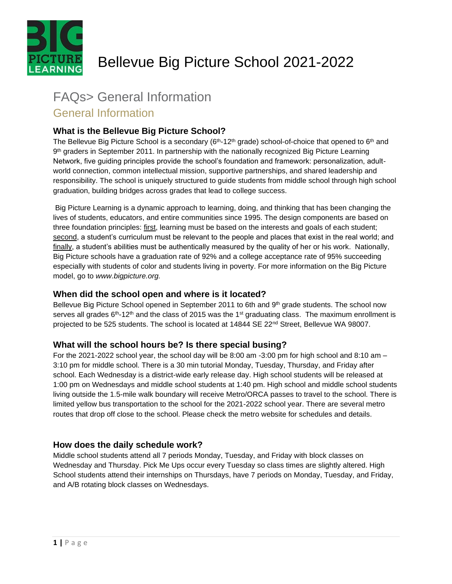

# Bellevue Big Picture School 2021-2022

# FAQs> General Information

# General Information

# **What is the Bellevue Big Picture School?**

The Bellevue Big Picture School is a secondary (6<sup>th</sup>-12<sup>th</sup> grade) school-of-choice that opened to 6<sup>th</sup> and 9<sup>th</sup> graders in September 2011. In partnership with the nationally recognized Big Picture Learning Network, five guiding principles provide the school's foundation and framework: personalization, adultworld connection, common intellectual mission, supportive partnerships, and shared leadership and responsibility. The school is uniquely structured to guide students from middle school through high school graduation, building bridges across grades that lead to college success.

Big Picture Learning is a dynamic approach to learning, doing, and thinking that has been changing the lives of students, educators, and entire communities since 1995. The design components are based on three foundation principles: first, learning must be based on the interests and goals of each student; second, a student's curriculum must be relevant to the people and places that exist in the real world; and finally, a student's abilities must be authentically measured by the quality of her or his work. Nationally, Big Picture schools have a graduation rate of 92% and a college acceptance rate of 95% succeeding especially with students of color and students living in poverty. For more information on the Big Picture model, go to *www.bigpicture.org.* 

# **When did the school open and where is it located?**

Bellevue Big Picture School opened in September 2011 to 6th and 9<sup>th</sup> grade students. The school now serves all grades  $6<sup>th</sup> - 12<sup>th</sup>$  and the class of 2015 was the 1<sup>st</sup> graduating class. The maximum enrollment is projected to be 525 students. The school is located at 14844 SE 22<sup>nd</sup> Street, Bellevue WA 98007.

# **What will the school hours be? Is there special busing?**

For the 2021-2022 school year, the school day will be 8:00 am -3:00 pm for high school and 8:10 am – 3:10 pm for middle school. There is a 30 min tutorial Monday, Tuesday, Thursday, and Friday after school. Each Wednesday is a district-wide early release day. High school students will be released at 1:00 pm on Wednesdays and middle school students at 1:40 pm. High school and middle school students living outside the 1.5-mile walk boundary will receive Metro/ORCA passes to travel to the school. There is limited yellow bus transportation to the school for the 2021-2022 school year. There are several metro routes that drop off close to the school. Please check the metro website for schedules and details.

# **How does the daily schedule work?**

Middle school students attend all 7 periods Monday, Tuesday, and Friday with block classes on Wednesday and Thursday. Pick Me Ups occur every Tuesday so class times are slightly altered. High School students attend their internships on Thursdays, have 7 periods on Monday, Tuesday, and Friday, and A/B rotating block classes on Wednesdays.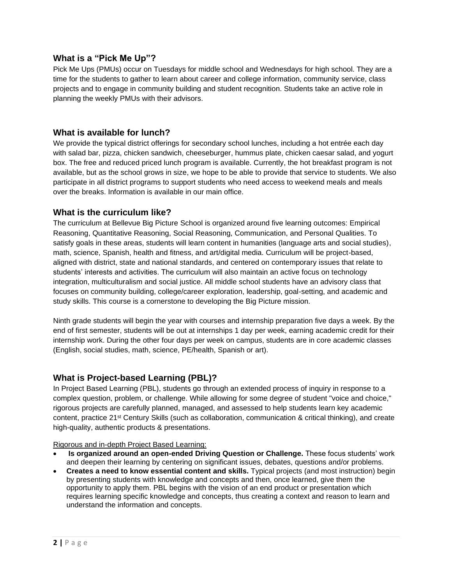#### **What is a "Pick Me Up"?**

Pick Me Ups (PMUs) occur on Tuesdays for middle school and Wednesdays for high school. They are a time for the students to gather to learn about career and college information, community service, class projects and to engage in community building and student recognition. Students take an active role in planning the weekly PMUs with their advisors.

#### **What is available for lunch?**

We provide the typical district offerings for secondary school lunches, including a hot entrée each day with salad bar, pizza, chicken sandwich, cheeseburger, hummus plate, chicken caesar salad, and yogurt box. The free and reduced priced lunch program is available. Currently, the hot breakfast program is not available, but as the school grows in size, we hope to be able to provide that service to students. We also participate in all district programs to support students who need access to weekend meals and meals over the breaks. Information is available in our main office.

#### **What is the curriculum like?**

The curriculum at Bellevue Big Picture School is organized around five learning outcomes: Empirical Reasoning, Quantitative Reasoning, Social Reasoning, Communication, and Personal Qualities. To satisfy goals in these areas, students will learn content in humanities (language arts and social studies), math, science, Spanish, health and fitness, and art/digital media. Curriculum will be project-based, aligned with district, state and national standards, and centered on contemporary issues that relate to students' interests and activities. The curriculum will also maintain an active focus on technology integration, multiculturalism and social justice. All middle school students have an advisory class that focuses on community building, college/career exploration, leadership, goal-setting, and academic and study skills. This course is a cornerstone to developing the Big Picture mission.

Ninth grade students will begin the year with courses and internship preparation five days a week. By the end of first semester, students will be out at internships 1 day per week, earning academic credit for their internship work. During the other four days per week on campus, students are in core academic classes (English, social studies, math, science, PE/health, Spanish or art).

# **What is Project-based Learning (PBL)?**

In Project Based Learning (PBL), students go through an extended process of inquiry in response to a complex question, problem, or challenge. While allowing for some degree of student "voice and choice," rigorous projects are carefully planned, managed, and assessed to help students learn key academic content, practice 21st Century Skills (such as collaboration, communication & critical thinking), and create high-quality, authentic products & presentations.

#### Rigorous and in-depth Project Based Learning:

- **Is organized around an open-ended Driving Question or Challenge.** These focus students' work and deepen their learning by centering on significant issues, debates, questions and/or problems.
- **Creates a need to know essential content and skills.** Typical projects (and most instruction) begin by presenting students with knowledge and concepts and then, once learned, give them the opportunity to apply them. PBL begins with the vision of an end product or presentation which requires learning specific knowledge and concepts, thus creating a context and reason to learn and understand the information and concepts.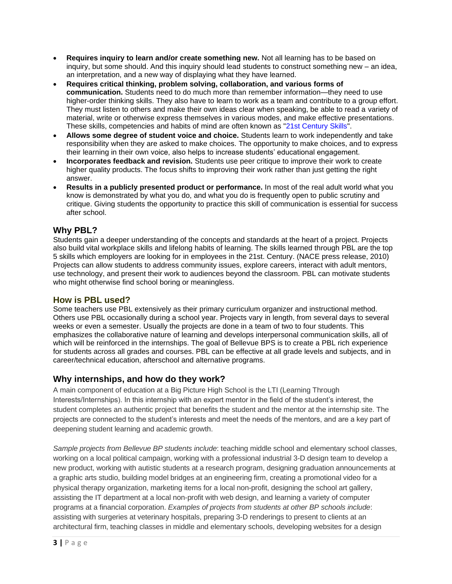- **Requires inquiry to learn and/or create something new.** Not all learning has to be based on inquiry, but some should. And this inquiry should lead students to construct something new – an idea, an interpretation, and a new way of displaying what they have learned.
- **Requires critical thinking, problem solving, collaboration, and various forms of communication.** Students need to do much more than remember information—they need to use higher-order thinking skills. They also have to learn to work as a team and contribute to a group effort. They must listen to others and make their own ideas clear when speaking, be able to read a variety of material, write or otherwise express themselves in various modes, and make effective presentations. These skills, competencies and habits of mind are often known as "21st Century Skills".
- **Allows some degree of student voice and choice.** Students learn to work independently and take responsibility when they are asked to make choices. The opportunity to make choices, and to express their learning in their own voice, also helps to increase students' educational engagement.
- **Incorporates feedback and revision.** Students use peer critique to improve their work to create higher quality products. The focus shifts to improving their work rather than just getting the right answer.
- **Results in a publicly presented product or performance.** In most of the real adult world what you know is demonstrated by what you do, and what you do is frequently open to public scrutiny and critique. Giving students the opportunity to practice this skill of communication is essential for success after school.

# **Why PBL?**

Students gain a deeper understanding of the concepts and standards at the heart of a project. Projects also build vital workplace skills and lifelong habits of learning. The skills learned through PBL are the top 5 skills which employers are looking for in employees in the 21st. Century. (NACE press release, 2010) Projects can allow students to address community issues, explore careers, interact with adult mentors, use technology, and present their work to audiences beyond the classroom. PBL can motivate students who might otherwise find school boring or meaningless.

# **How is PBL used?**

Some teachers use PBL extensively as their primary curriculum organizer and instructional method. Others use PBL occasionally during a school year. Projects vary in length, from several days to several weeks or even a semester. Usually the projects are done in a team of two to four students. This emphasizes the collaborative nature of learning and develops interpersonal communication skills, all of which will be reinforced in the internships. The goal of Bellevue BPS is to create a PBL rich experience for students across all grades and courses. PBL can be effective at all grade levels and subjects, and in career/technical education, afterschool and alternative programs.

# **Why internships, and how do they work?**

A main component of education at a Big Picture High School is the LTI (Learning Through Interests/Internships). In this internship with an expert mentor in the field of the student's interest, the student completes an authentic project that benefits the student and the mentor at the internship site. The projects are connected to the student's interests and meet the needs of the mentors, and are a key part of deepening student learning and academic growth.

*Sample projects from Bellevue BP students include*: teaching middle school and elementary school classes, working on a local political campaign, working with a professional industrial 3-D design team to develop a new product, working with autistic students at a research program, designing graduation announcements at a graphic arts studio, building model bridges at an engineering firm, creating a promotional video for a physical therapy organization, marketing items for a local non-profit, designing the school art gallery, assisting the IT department at a local non-profit with web design, and learning a variety of computer programs at a financial corporation. *Examples of projects from students at other BP schools include*: assisting with surgeries at veterinary hospitals, preparing 3-D renderings to present to clients at an architectural firm, teaching classes in middle and elementary schools, developing websites for a design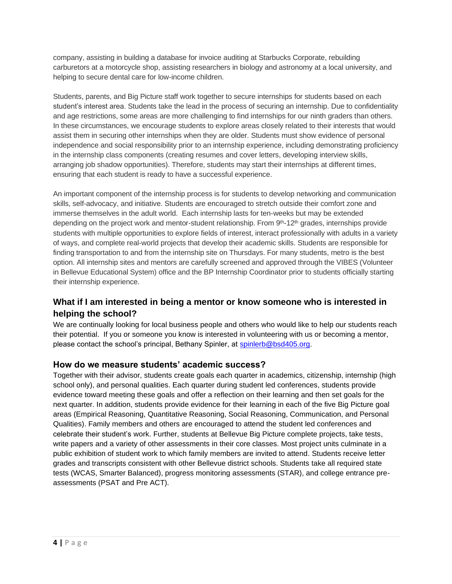company, assisting in building a database for invoice auditing at Starbucks Corporate, rebuilding carburetors at a motorcycle shop, assisting researchers in biology and astronomy at a local university, and helping to secure dental care for low-income children.

Students, parents, and Big Picture staff work together to secure internships for students based on each student's interest area. Students take the lead in the process of securing an internship. Due to confidentiality and age restrictions, some areas are more challenging to find internships for our ninth graders than others. In these circumstances, we encourage students to explore areas closely related to their interests that would assist them in securing other internships when they are older. Students must show evidence of personal independence and social responsibility prior to an internship experience, including demonstrating proficiency in the internship class components (creating resumes and cover letters, developing interview skills, arranging job shadow opportunities). Therefore, students may start their internships at different times, ensuring that each student is ready to have a successful experience.

An important component of the internship process is for students to develop networking and communication skills, self-advocacy, and initiative. Students are encouraged to stretch outside their comfort zone and immerse themselves in the adult world. Each internship lasts for ten-weeks but may be extended depending on the project work and mentor-student relationship. From 9<sup>th</sup>-12<sup>th</sup> grades, internships provide students with multiple opportunities to explore fields of interest, interact professionally with adults in a variety of ways, and complete real-world projects that develop their academic skills. Students are responsible for finding transportation to and from the internship site on Thursdays. For many students, metro is the best option. All internship sites and mentors are carefully screened and approved through the VIBES (Volunteer in Bellevue Educational System) office and the BP Internship Coordinator prior to students officially starting their internship experience.

# **What if I am interested in being a mentor or know someone who is interested in helping the school?**

We are continually looking for local business people and others who would like to help our students reach their potential. If you or someone you know is interested in volunteering with us or becoming a mentor, please contact the school's principal, Bethany Spinler, at [spinlerb@bsd405.org.](mailto:spinlerb@bsd405.org)

# **How do we measure students' academic success?**

Together with their advisor, students create goals each quarter in academics, citizenship, internship (high school only), and personal qualities. Each quarter during student led conferences, students provide evidence toward meeting these goals and offer a reflection on their learning and then set goals for the next quarter. In addition, students provide evidence for their learning in each of the five Big Picture goal areas (Empirical Reasoning, Quantitative Reasoning, Social Reasoning, Communication, and Personal Qualities). Family members and others are encouraged to attend the student led conferences and celebrate their student's work. Further, students at Bellevue Big Picture complete projects, take tests, write papers and a variety of other assessments in their core classes. Most project units culminate in a public exhibition of student work to which family members are invited to attend. Students receive letter grades and transcripts consistent with other Bellevue district schools. Students take all required state tests (WCAS, Smarter Balanced), progress monitoring assessments (STAR), and college entrance preassessments (PSAT and Pre ACT).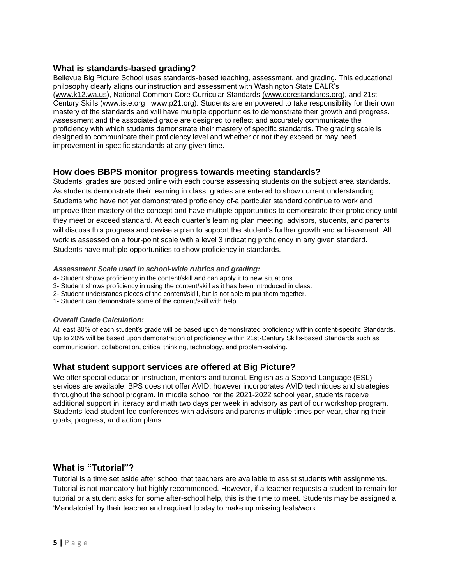# **What is standards-based grading?**

Bellevue Big Picture School uses standards-based teaching, assessment, and grading. This educational philosophy clearly aligns our instruction and assessment with Washington State EALR's [\(www.k12.wa.us\)](http://www.k12.wa.us/), National Common Core Curricular Standards [\(www.corestandards.org\)](http://www.corestandards.org/), and 21st Century Skills [\(www.iste.org](http://www.iste.org/) , [www.p21.org\)](http://www.p21.org/). Students are empowered to take responsibility for their own mastery of the standards and will have multiple opportunities to demonstrate their growth and progress. Assessment and the associated grade are designed to reflect and accurately communicate the proficiency with which students demonstrate their mastery of specific standards. The grading scale is designed to communicate their proficiency level and whether or not they exceed or may need improvement in specific standards at any given time.

#### **How does BBPS monitor progress towards meeting standards?**

Students' grades are posted online with each course assessing students on the subject area standards. As students demonstrate their learning in class, grades are entered to show current understanding. Students who have not yet demonstrated proficiency of a particular standard continue to work and improve their mastery of the concept and have multiple opportunities to demonstrate their proficiency until they meet or exceed standard. At each quarter's learning plan meeting, advisors, students, and parents will discuss this progress and devise a plan to support the student's further growth and achievement. All work is assessed on a four-point scale with a level 3 indicating proficiency in any given standard. Students have multiple opportunities to show proficiency in standards.

#### *Assessment Scale used in school-wide rubrics and grading:*

- 4- Student shows proficiency in the content/skill and can apply it to new situations.
- 3- Student shows proficiency in using the content/skill as it has been introduced in class.
- 2- Student understands pieces of the content/skill, but is not able to put them together.
- 1- Student can demonstrate some of the content/skill with help

#### *Overall Grade Calculation:*

At least 80% of each student's grade will be based upon demonstrated proficiency within content-specific Standards. Up to 20% will be based upon demonstration of proficiency within 21st-Century Skills-based Standards such as communication, collaboration, critical thinking, technology, and problem-solving.

# **What student support services are offered at Big Picture?**

We offer special education instruction, mentors and tutorial. English as a Second Language (ESL) services are available. BPS does not offer AVID, however incorporates AVID techniques and strategies throughout the school program. In middle school for the 2021-2022 school year, students receive additional support in literacy and math two days per week in advisory as part of our workshop program. Students lead student-led conferences with advisors and parents multiple times per year, sharing their goals, progress, and action plans.

#### **What is "Tutorial"?**

Tutorial is a time set aside after school that teachers are available to assist students with assignments. Tutorial is not mandatory but highly recommended. However, if a teacher requests a student to remain for tutorial or a student asks for some after-school help, this is the time to meet. Students may be assigned a 'Mandatorial' by their teacher and required to stay to make up missing tests/work.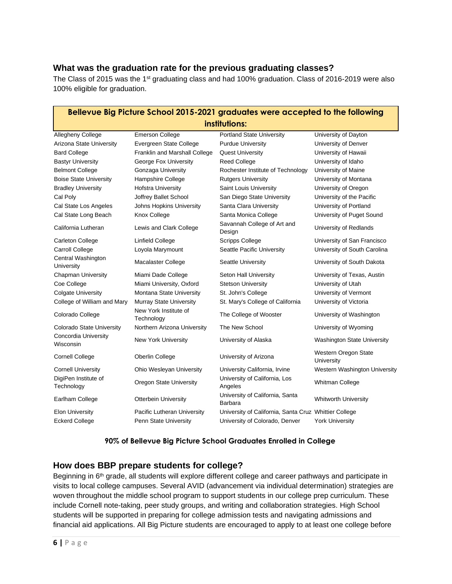# **What was the graduation rate for the previous graduating classes?**

The Class of 2015 was the 1<sup>st</sup> graduating class and had 100% graduation. Class of 2016-2019 were also 100% eligible for graduation.

| Bellevue Big Picture School 2015-2021 graduates were accepted to the following |                                     |                                                       |                                    |
|--------------------------------------------------------------------------------|-------------------------------------|-------------------------------------------------------|------------------------------------|
| institutions:                                                                  |                                     |                                                       |                                    |
| <b>Allegheny College</b>                                                       | <b>Emerson College</b>              | <b>Portland State University</b>                      | University of Dayton               |
| Arizona State University                                                       | Evergreen State College             | <b>Purdue University</b>                              | University of Denver               |
| <b>Bard College</b>                                                            | Franklin and Marshall College       | <b>Quest University</b>                               | University of Hawaii               |
| <b>Bastyr University</b>                                                       | George Fox University               | <b>Reed College</b>                                   | University of Idaho                |
| <b>Belmont College</b>                                                         | Gonzaga University                  | Rochester Institute of Technology                     | University of Maine                |
| <b>Boise State University</b>                                                  | Hampshire College                   | <b>Rutgers University</b>                             | University of Montana              |
| <b>Bradley University</b>                                                      | <b>Hofstra University</b>           | Saint Louis University                                | University of Oregon               |
| Cal Poly                                                                       | Joffrey Ballet School               | San Diego State University                            | University of the Pacific          |
| Cal State Los Angeles                                                          | Johns Hopkins University            | Santa Clara University                                | University of Portland             |
| Cal State Long Beach                                                           | Knox College                        | Santa Monica College                                  | University of Puget Sound          |
| California Lutheran                                                            | Lewis and Clark College             | Savannah College of Art and<br>Design                 | University of Redlands             |
| <b>Carleton College</b>                                                        | Linfield College                    | <b>Scripps College</b>                                | University of San Francisco        |
| <b>Carroll College</b>                                                         | Loyola Marymount                    | Seattle Pacific University                            | University of South Carolina       |
| Central Washington<br>University                                               | Macalaster College                  | Seattle University                                    | University of South Dakota         |
| <b>Chapman University</b>                                                      | Miami Dade College                  | Seton Hall University                                 | University of Texas, Austin        |
| Coe College                                                                    | Miami University, Oxford            | <b>Stetson University</b>                             | University of Utah                 |
| <b>Colgate University</b>                                                      | Montana State University            | St. John's College                                    | University of Vermont              |
| College of William and Mary                                                    | Murray State University             | St. Mary's College of California                      | University of Victoria             |
| Colorado College                                                               | New York Institute of<br>Technology | The College of Wooster                                | University of Washington           |
| <b>Colorado State University</b>                                               | Northern Arizona University         | The New School                                        | University of Wyoming              |
| Concordia University<br>Wisconsin                                              | New York University                 | University of Alaska                                  | <b>Washington State University</b> |
| <b>Cornell College</b>                                                         | Oberlin College                     | University of Arizona                                 | Western Oregon State<br>University |
| <b>Cornell University</b>                                                      | Ohio Wesleyan University            | University California, Irvine                         | Western Washington University      |
| DigiPen Institute of<br>Technology                                             | Oregon State University             | University of California, Los<br>Angeles              | Whitman College                    |
| Earlham College                                                                | <b>Otterbein University</b>         | University of California, Santa<br>Barbara            | <b>Whitworth University</b>        |
| <b>Elon University</b>                                                         | Pacific Lutheran University         | University of California, Santa Cruz Whittier College |                                    |
| <b>Eckerd College</b>                                                          | Penn State University               | University of Colorado, Denver                        | <b>York University</b>             |
|                                                                                |                                     |                                                       |                                    |

#### **90% of Bellevue Big Picture School Graduates Enrolled in College**

# **How does BBP prepare students for college?**

Beginning in 6<sup>th</sup> grade, all students will explore different college and career pathways and participate in visits to local college campuses. Several AVID (advancement via individual determination) strategies are woven throughout the middle school program to support students in our college prep curriculum. These include Cornell note-taking, peer study groups, and writing and collaboration strategies. High School students will be supported in preparing for college admission tests and navigating admissions and financial aid applications. All Big Picture students are encouraged to apply to at least one college before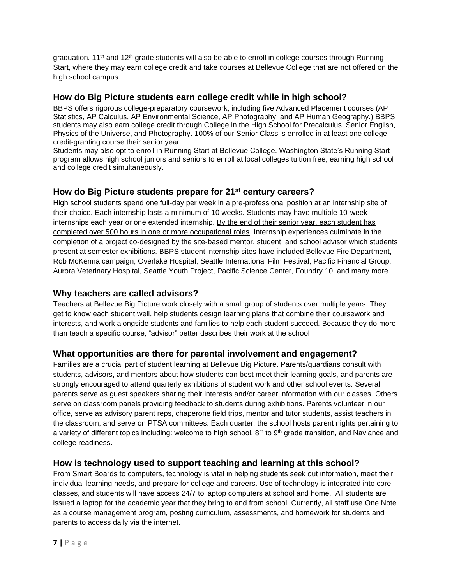graduation. 11<sup>th</sup> and 12<sup>th</sup> grade students will also be able to enroll in college courses through Running Start, where they may earn college credit and take courses at Bellevue College that are not offered on the high school campus.

# **How do Big Picture students earn college credit while in high school?**

BBPS offers rigorous college-preparatory coursework, including five Advanced Placement courses (AP Statistics, AP Calculus, AP Environmental Science, AP Photography, and AP Human Geography.) BBPS students may also earn college credit through College in the High School for Precalculus, Senior English, Physics of the Universe, and Photography. 100% of our Senior Class is enrolled in at least one college credit-granting course their senior year.

Students may also opt to enroll in Running Start at Bellevue College. Washington State's Running Start program allows high school juniors and seniors to enroll at local colleges tuition free, earning high school and college credit simultaneously.

# **How do Big Picture students prepare for 21st century careers?**

High school students spend one full-day per week in a pre-professional position at an internship site of their choice. Each internship lasts a minimum of 10 weeks. Students may have multiple 10-week internships each year or one extended internship. By the end of their senior year, each student has completed over 500 hours in one or more occupational roles. Internship experiences culminate in the completion of a project co-designed by the site-based mentor, student, and school advisor which students present at semester exhibitions. BBPS student internship sites have included Bellevue Fire Department, Rob McKenna campaign, Overlake Hospital, Seattle International Film Festival, Pacific Financial Group, Aurora Veterinary Hospital, Seattle Youth Project, Pacific Science Center, Foundry 10, and many more.

# **Why teachers are called advisors?**

Teachers at Bellevue Big Picture work closely with a small group of students over multiple years. They get to know each student well, help students design learning plans that combine their coursework and interests, and work alongside students and families to help each student succeed. Because they do more than teach a specific course, "advisor" better describes their work at the school

# **What opportunities are there for parental involvement and engagement?**

Families are a crucial part of student learning at Bellevue Big Picture. Parents/guardians consult with students, advisors, and mentors about how students can best meet their learning goals, and parents are strongly encouraged to attend quarterly exhibitions of student work and other school events. Several parents serve as guest speakers sharing their interests and/or career information with our classes. Others serve on classroom panels providing feedback to students during exhibitions. Parents volunteer in our office, serve as advisory parent reps, chaperone field trips, mentor and tutor students, assist teachers in the classroom, and serve on PTSA committees. Each quarter, the school hosts parent nights pertaining to a variety of different topics including: welcome to high school,  $8<sup>th</sup>$  to  $9<sup>th</sup>$  grade transition, and Naviance and college readiness.

# **How is technology used to support teaching and learning at this school?**

From Smart Boards to computers, technology is vital in helping students seek out information, meet their individual learning needs, and prepare for college and careers. Use of technology is integrated into core classes, and students will have access 24/7 to laptop computers at school and home. All students are issued a laptop for the academic year that they bring to and from school. Currently, all staff use One Note as a course management program, posting curriculum, assessments, and homework for students and parents to access daily via the internet.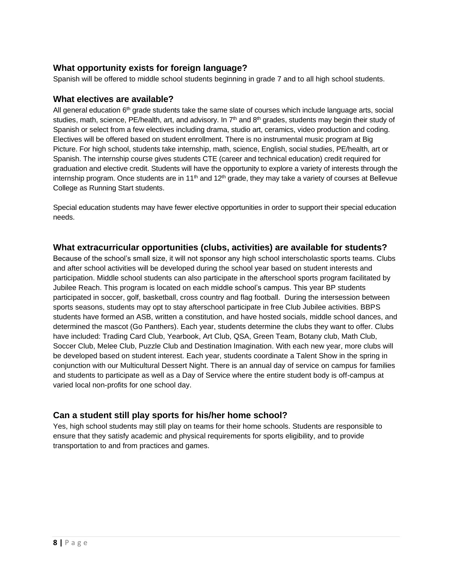# **What opportunity exists for foreign language?**

Spanish will be offered to middle school students beginning in grade 7 and to all high school students.

#### **What electives are available?**

All general education  $6<sup>th</sup>$  grade students take the same slate of courses which include language arts, social studies, math, science, PE/health, art, and advisory. In  $7<sup>th</sup>$  and  $8<sup>th</sup>$  grades, students may begin their study of Spanish or select from a few electives including drama, studio art, ceramics, video production and coding. Electives will be offered based on student enrollment. There is no instrumental music program at Big Picture. For high school, students take internship, math, science, English, social studies, PE/health, art or Spanish. The internship course gives students CTE (career and technical education) credit required for graduation and elective credit. Students will have the opportunity to explore a variety of interests through the internship program. Once students are in 11<sup>th</sup> and 12<sup>th</sup> grade, they may take a variety of courses at Bellevue College as Running Start students.

Special education students may have fewer elective opportunities in order to support their special education needs.

#### **What extracurricular opportunities (clubs, activities) are available for students?**

Because of the school's small size, it will not sponsor any high school interscholastic sports teams. Clubs and after school activities will be developed during the school year based on student interests and participation. Middle school students can also participate in the afterschool sports program facilitated by Jubilee Reach. This program is located on each middle school's campus. This year BP students participated in soccer, golf, basketball, cross country and flag football. During the intersession between sports seasons, students may opt to stay afterschool participate in free Club Jubilee activities. BBPS students have formed an ASB, written a constitution, and have hosted socials, middle school dances, and determined the mascot (Go Panthers). Each year, students determine the clubs they want to offer. Clubs have included: Trading Card Club, Yearbook, Art Club, QSA, Green Team, Botany club, Math Club, Soccer Club, Melee Club, Puzzle Club and Destination Imagination. With each new year, more clubs will be developed based on student interest. Each year, students coordinate a Talent Show in the spring in conjunction with our Multicultural Dessert Night. There is an annual day of service on campus for families and students to participate as well as a Day of Service where the entire student body is off-campus at varied local non-profits for one school day.

# **Can a student still play sports for his/her home school?**

Yes, high school students may still play on teams for their home schools. Students are responsible to ensure that they satisfy academic and physical requirements for sports eligibility, and to provide transportation to and from practices and games.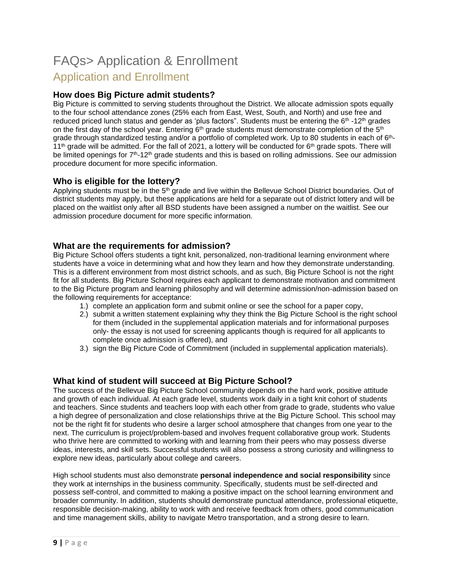# FAQs> Application & Enrollment Application and Enrollment

# **How does Big Picture admit students?**

Big Picture is committed to serving students throughout the District. We allocate admission spots equally to the four school attendance zones (25% each from East, West, South, and North) and use free and reduced priced lunch status and gender as 'plus factors". Students must be entering the 6<sup>th</sup> -12<sup>th</sup> grades on the first day of the school year. Entering 6<sup>th</sup> grade students must demonstrate completion of the 5<sup>th</sup> grade through standardized testing and/or a portfolio of completed work. Up to 80 students in each of 6<sup>th</sup>-11<sup>th</sup> grade will be admitted. For the fall of 2021, a lottery will be conducted for  $6<sup>th</sup>$  grade spots. There will be limited openings for  $7<sup>th</sup>$ -12<sup>th</sup> grade students and this is based on rolling admissions. See our admission procedure document for more specific information.

#### **Who is eligible for the lottery?**

Applying students must be in the 5<sup>th</sup> grade and live within the Bellevue School District boundaries. Out of district students may apply, but these applications are held for a separate out of district lottery and will be placed on the waitlist only after all BSD students have been assigned a number on the waitlist. See our admission procedure document for more specific information.

#### **What are the requirements for admission?**

Big Picture School offers students a tight knit, personalized, non-traditional learning environment where students have a voice in determining what and how they learn and how they demonstrate understanding. This is a different environment from most district schools, and as such, Big Picture School is not the right fit for all students. Big Picture School requires each applicant to demonstrate motivation and commitment to the Big Picture program and learning philosophy and will determine admission/non-admission based on the following requirements for acceptance:

- 1.) complete an application form and submit online or see the school for a paper copy,
- 2.) submit a written statement explaining why they think the Big Picture School is the right school for them (included in the supplemental application materials and for informational purposes only- the essay is not used for screening applicants though is required for all applicants to complete once admission is offered), and
- 3.) sign the Big Picture Code of Commitment (included in supplemental application materials).

#### **What kind of student will succeed at Big Picture School?**

The success of the Bellevue Big Picture School community depends on the hard work, positive attitude and growth of each individual. At each grade level, students work daily in a tight knit cohort of students and teachers. Since students and teachers loop with each other from grade to grade, students who value a high degree of personalization and close relationships thrive at the Big Picture School. This school may not be the right fit for students who desire a larger school atmosphere that changes from one year to the next. The curriculum is project/problem-based and involves frequent collaborative group work. Students who thrive here are committed to working with and learning from their peers who may possess diverse ideas, interests, and skill sets. Successful students will also possess a strong curiosity and willingness to explore new ideas, particularly about college and careers.

High school students must also demonstrate **personal independence and social responsibility** since they work at internships in the business community. Specifically, students must be self-directed and possess self-control, and committed to making a positive impact on the school learning environment and broader community. In addition, students should demonstrate punctual attendance, professional etiquette, responsible decision-making, ability to work with and receive feedback from others, good communication and time management skills, ability to navigate Metro transportation, and a strong desire to learn.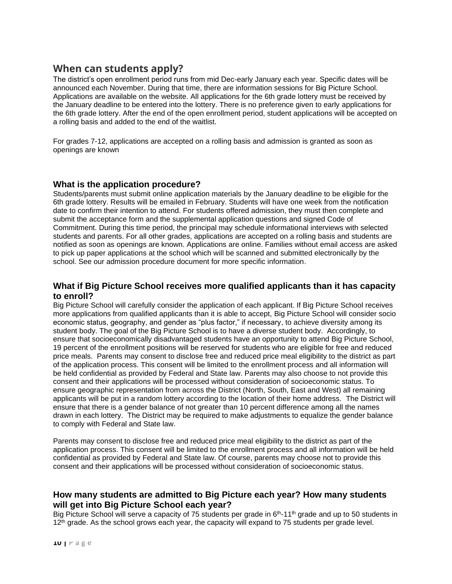# **When can students apply?**

The district's open enrollment period runs from mid Dec-early January each year. Specific dates will be announced each November. During that time, there are information sessions for Big Picture School. Applications are available on the website. All applications for the 6th grade lottery must be received by the January deadline to be entered into the lottery. There is no preference given to early applications for the 6th grade lottery. After the end of the open enrollment period, student applications will be accepted on a rolling basis and added to the end of the waitlist.

For grades 7-12, applications are accepted on a rolling basis and admission is granted as soon as openings are known

#### **What is the application procedure?**

Students/parents must submit online application materials by the January deadline to be eligible for the 6th grade lottery. Results will be emailed in February. Students will have one week from the notification date to confirm their intention to attend. For students offered admission, they must then complete and submit the acceptance form and the supplemental application questions and signed Code of Commitment. During this time period, the principal may schedule informational interviews with selected students and parents. For all other grades, applications are accepted on a rolling basis and students are notified as soon as openings are known. Applications are online. Families without email access are asked to pick up paper applications at the school which will be scanned and submitted electronically by the school. See our admission procedure document for more specific information.

#### **What if Big Picture School receives more qualified applicants than it has capacity to enroll?**

Big Picture School will carefully consider the application of each applicant. If Big Picture School receives more applications from qualified applicants than it is able to accept, Big Picture School will consider socio economic status, geography, and gender as "plus factor," if necessary, to achieve diversity among its student body. The goal of the Big Picture School is to have a diverse student body. Accordingly, to ensure that socioeconomically disadvantaged students have an opportunity to attend Big Picture School, 19 percent of the enrollment positions will be reserved for students who are eligible for free and reduced price meals. Parents may consent to disclose free and reduced price meal eligibility to the district as part of the application process. This consent will be limited to the enrollment process and all information will be held confidential as provided by Federal and State law. Parents may also choose to not provide this consent and their applications will be processed without consideration of socioeconomic status. To ensure geographic representation from across the District (North, South, East and West) all remaining applicants will be put in a random lottery according to the location of their home address. The District will ensure that there is a gender balance of not greater than 10 percent difference among all the names drawn in each lottery. The District may be required to make adjustments to equalize the gender balance to comply with Federal and State law.

Parents may consent to disclose free and reduced price meal eligibility to the district as part of the application process. This consent will be limited to the enrollment process and all information will be held confidential as provided by Federal and State law. Of course, parents may choose not to provide this consent and their applications will be processed without consideration of socioeconomic status.

#### **How many students are admitted to Big Picture each year? How many students will get into Big Picture School each year?**

Big Picture School will serve a capacity of 75 students per grade in 6<sup>th</sup>-11<sup>th</sup> grade and up to 50 students in 12<sup>th</sup> grade. As the school grows each year, the capacity will expand to 75 students per grade level.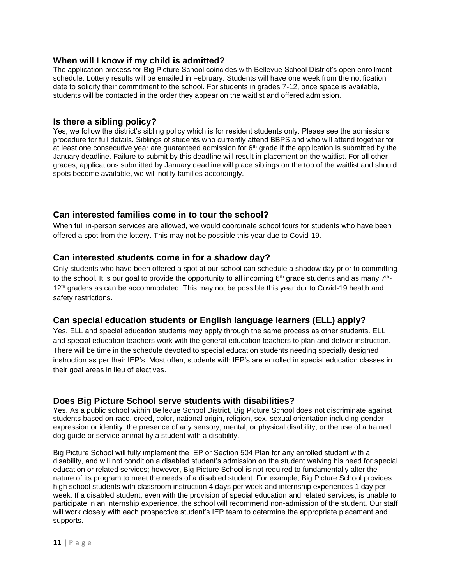#### **When will I know if my child is admitted?**

The application process for Big Picture School coincides with Bellevue School District's open enrollment schedule. Lottery results will be emailed in February. Students will have one week from the notification date to solidify their commitment to the school. For students in grades 7-12, once space is available, students will be contacted in the order they appear on the waitlist and offered admission.

#### **Is there a sibling policy?**

Yes, we follow the district's sibling policy which is for resident students only. Please see the admissions procedure for full details. Siblings of students who currently attend BBPS and who will attend together for at least one consecutive year are guaranteed admission for  $6<sup>th</sup>$  grade if the application is submitted by the January deadline. Failure to submit by this deadline will result in placement on the waitlist. For all other grades, applications submitted by January deadline will place siblings on the top of the waitlist and should spots become available, we will notify families accordingly.

# **Can interested families come in to tour the school?**

When full in-person services are allowed, we would coordinate school tours for students who have been offered a spot from the lottery. This may not be possible this year due to Covid-19.

#### **Can interested students come in for a shadow day?**

Only students who have been offered a spot at our school can schedule a shadow day prior to committing to the school. It is our goal to provide the opportunity to all incoming  $6<sup>th</sup>$  grade students and as many  $7<sup>th</sup>$ -12<sup>th</sup> graders as can be accommodated. This may not be possible this year dur to Covid-19 health and safety restrictions.

# **Can special education students or English language learners (ELL) apply?**

Yes. ELL and special education students may apply through the same process as other students. ELL and special education teachers work with the general education teachers to plan and deliver instruction. There will be time in the schedule devoted to special education students needing specially designed instruction as per their IEP's. Most often, students with IEP's are enrolled in special education classes in their goal areas in lieu of electives.

#### **Does Big Picture School serve students with disabilities?**

Yes. As a public school within Bellevue School District, Big Picture School does not discriminate against students based on race, creed, color, national origin, religion, sex, sexual orientation including gender expression or identity, the presence of any sensory, mental, or physical disability, or the use of a trained dog guide or service animal by a student with a disability.

Big Picture School will fully implement the IEP or Section 504 Plan for any enrolled student with a disability, and will not condition a disabled student's admission on the student waiving his need for special education or related services; however, Big Picture School is not required to fundamentally alter the nature of its program to meet the needs of a disabled student. For example, Big Picture School provides high school students with classroom instruction 4 days per week and internship experiences 1 day per week. If a disabled student, even with the provision of special education and related services, is unable to participate in an internship experience, the school will recommend non-admission of the student. Our staff will work closely with each prospective student's IEP team to determine the appropriate placement and supports.